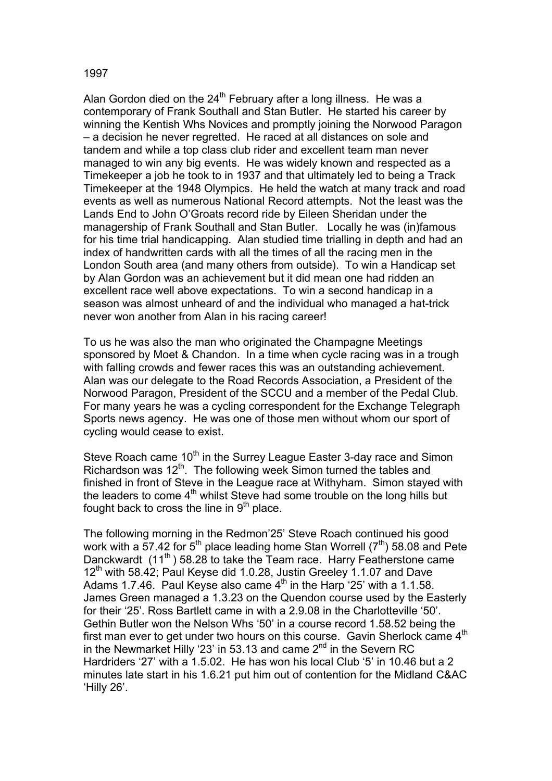## 1997

Alan Gordon died on the  $24<sup>th</sup>$  February after a long illness. He was a contemporary of Frank Southall and Stan Butler. He started his career by winning the Kentish Whs Novices and promptly joining the Norwood Paragon – a decision he never regretted. He raced at all distances on sole and tandem and while a top class club rider and excellent team man never managed to win any big events. He was widely known and respected as a Timekeeper a job he took to in 1937 and that ultimately led to being a Track Timekeeper at the 1948 Olympics. He held the watch at many track and road events as well as numerous National Record attempts. Not the least was the Lands End to John O'Groats record ride by Eileen Sheridan under the managership of Frank Southall and Stan Butler. Locally he was (in)famous for his time trial handicapping. Alan studied time trialling in depth and had an index of handwritten cards with all the times of all the racing men in the London South area (and many others from outside). To win a Handicap set by Alan Gordon was an achievement but it did mean one had ridden an excellent race well above expectations. To win a second handicap in a season was almost unheard of and the individual who managed a hat-trick never won another from Alan in his racing career!

To us he was also the man who originated the Champagne Meetings sponsored by Moet & Chandon. In a time when cycle racing was in a trough with falling crowds and fewer races this was an outstanding achievement. Alan was our delegate to the Road Records Association, a President of the Norwood Paragon, President of the SCCU and a member of the Pedal Club. For many years he was a cycling correspondent for the Exchange Telegraph Sports news agency. He was one of those men without whom our sport of cycling would cease to exist.

Steve Roach came  $10<sup>th</sup>$  in the Surrey League Easter 3-day race and Simon Richardson was 12<sup>th</sup>. The following week Simon turned the tables and finished in front of Steve in the League race at Withyham. Simon stayed with the leaders to come  $4<sup>th</sup>$  whilst Steve had some trouble on the long hills but fought back to cross the line in  $9<sup>th</sup>$  place.

The following morning in the Redmon'25' Steve Roach continued his good work with a 57.42 for  $5^{th}$  place leading home Stan Worrell ( $7^{th}$ ) 58.08 and Pete Danckwardt  $(11<sup>th</sup>)$  58.28 to take the Team race. Harry Featherstone came  $12<sup>th</sup>$  with 58.42; Paul Keyse did 1.0.28, Justin Greeley 1.1.07 and Dave Adams 1.7.46. Paul Keyse also came  $4<sup>th</sup>$  in the Harp '25' with a 1.1.58. James Green managed a 1.3.23 on the Quendon course used by the Easterly for their '25'. Ross Bartlett came in with a 2.9.08 in the Charlotteville '50'. Gethin Butler won the Nelson Whs '50' in a course record 1.58.52 being the first man ever to get under two hours on this course. Gavin Sherlock came  $4<sup>th</sup>$ in the Newmarket Hilly '23' in 53.13 and came  $2<sup>nd</sup>$  in the Severn RC Hardriders '27' with a 1.5.02. He has won his local Club '5' in 10.46 but a 2 minutes late start in his 1.6.21 put him out of contention for the Midland C&AC 'Hilly 26'.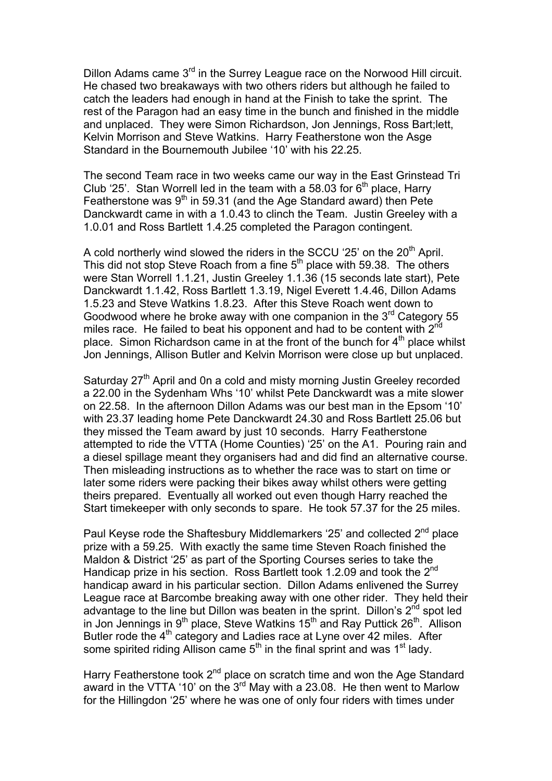Dillon Adams came 3<sup>rd</sup> in the Surrey League race on the Norwood Hill circuit. He chased two breakaways with two others riders but although he failed to catch the leaders had enough in hand at the Finish to take the sprint. The rest of the Paragon had an easy time in the bunch and finished in the middle and unplaced. They were Simon Richardson, Jon Jennings, Ross Bart;lett, Kelvin Morrison and Steve Watkins. Harry Featherstone won the Asge Standard in the Bournemouth Jubilee '10' with his 22.25.

The second Team race in two weeks came our way in the East Grinstead Tri Club '25'. Stan Worrell led in the team with a 58.03 for  $6<sup>th</sup>$  place, Harry Featherstone was  $9<sup>th</sup>$  in 59.31 (and the Age Standard award) then Pete Danckwardt came in with a 1.0.43 to clinch the Team. Justin Greeley with a 1.0.01 and Ross Bartlett 1.4.25 completed the Paragon contingent.

A cold northerly wind slowed the riders in the SCCU '25' on the 20<sup>th</sup> April. This did not stop Steve Roach from a fine  $5<sup>th</sup>$  place with 59.38. The others were Stan Worrell 1.1.21, Justin Greeley 1.1.36 (15 seconds late start), Pete Danckwardt 1.1.42, Ross Bartlett 1.3.19, Nigel Everett 1.4.46, Dillon Adams 1.5.23 and Steve Watkins 1.8.23. After this Steve Roach went down to Goodwood where he broke away with one companion in the  $3<sup>rd</sup>$  Category 55 miles race. He failed to beat his opponent and had to be content with  $2<sup>nd</sup>$ place. Simon Richardson came in at the front of the bunch for  $4<sup>th</sup>$  place whilst Jon Jennings, Allison Butler and Kelvin Morrison were close up but unplaced.

Saturday 27<sup>th</sup> April and 0n a cold and misty morning Justin Greeley recorded a 22.00 in the Sydenham Whs '10' whilst Pete Danckwardt was a mite slower on 22.58. In the afternoon Dillon Adams was our best man in the Epsom '10' with 23.37 leading home Pete Danckwardt 24.30 and Ross Bartlett 25.06 but they missed the Team award by just 10 seconds. Harry Featherstone attempted to ride the VTTA (Home Counties) '25' on the A1. Pouring rain and a diesel spillage meant they organisers had and did find an alternative course. Then misleading instructions as to whether the race was to start on time or later some riders were packing their bikes away whilst others were getting theirs prepared. Eventually all worked out even though Harry reached the Start timekeeper with only seconds to spare. He took 57.37 for the 25 miles.

Paul Keyse rode the Shaftesbury Middlemarkers '25' and collected 2<sup>nd</sup> place prize with a 59.25. With exactly the same time Steven Roach finished the Maldon & District '25' as part of the Sporting Courses series to take the Handicap prize in his section. Ross Bartlett took 1.2.09 and took the 2<sup>nd</sup> handicap award in his particular section. Dillon Adams enlivened the Surrey League race at Barcombe breaking away with one other rider. They held their advantage to the line but Dillon was beaten in the sprint. Dillon's  $2^{nd}$  spot led in Jon Jennings in  $9<sup>th</sup>$  place, Steve Watkins 15<sup>th</sup> and Ray Puttick 26<sup>th</sup>. Allison Butler rode the 4<sup>th</sup> category and Ladies race at Lyne over 42 miles. After some spirited riding Allison came  $5<sup>th</sup>$  in the final sprint and was  $1<sup>st</sup>$  lady.

Harry Featherstone took 2<sup>nd</sup> place on scratch time and won the Age Standard award in the VTTA '10' on the  $3<sup>rd</sup>$  May with a 23.08. He then went to Marlow for the Hillingdon '25' where he was one of only four riders with times under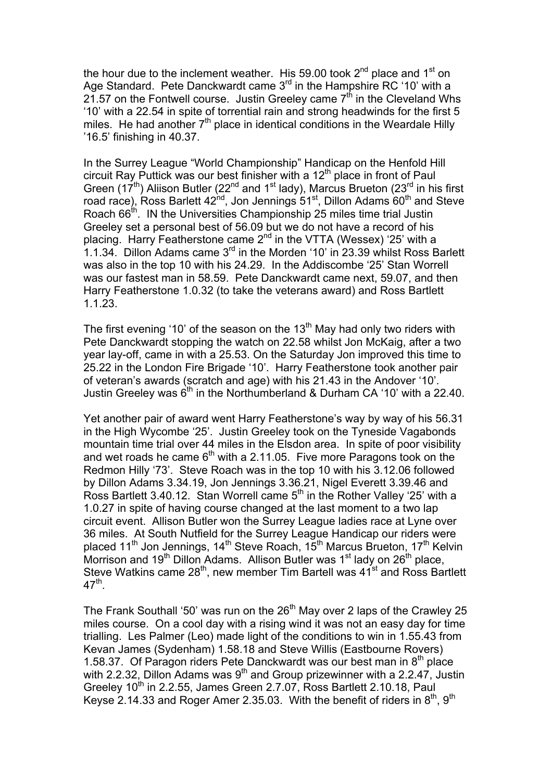the hour due to the inclement weather. His 59.00 took  $2^{nd}$  place and  $1^{st}$  on Age Standard. Pete Danckwardt came 3<sup>rd</sup> in the Hampshire RC '10' with a 21.57 on the Fontwell course. Justin Greeley came  $7<sup>th</sup>$  in the Cleveland Whs '10' with a 22.54 in spite of torrential rain and strong headwinds for the first 5 miles. He had another  $7<sup>th</sup>$  place in identical conditions in the Weardale Hilly '16.5' finishing in 40.37.

In the Surrey League "World Championship" Handicap on the Henfold Hill circuit Ray Puttick was our best finisher with a 12<sup>th</sup> place in front of Paul Green (17<sup>th</sup>) Aliison Butler (22<sup>nd</sup> and 1<sup>st</sup> lady), Marcus Brueton (23<sup>rd</sup> in his first road race), Ross Barlett  $42<sup>nd</sup>$ , Jon Jennings  $51<sup>st</sup>$ , Dillon Adams  $60<sup>th</sup>$  and Steve Roach 66<sup>th</sup>. IN the Universities Championship 25 miles time trial Justin Greeley set a personal best of 56.09 but we do not have a record of his placing. Harry Featherstone came  $2^{nd}$  in the VTTA (Wessex) '25' with a 1.1.34. Dillon Adams came  $3<sup>rd</sup>$  in the Morden '10' in 23.39 whilst Ross Barlett was also in the top 10 with his 24.29. In the Addiscombe '25' Stan Worrell was our fastest man in 58.59. Pete Danckwardt came next, 59.07, and then Harry Featherstone 1.0.32 (to take the veterans award) and Ross Bartlett 1.1.23.

The first evening '10' of the season on the 13<sup>th</sup> May had only two riders with Pete Danckwardt stopping the watch on 22.58 whilst Jon McKaig, after a two year lay-off, came in with a 25.53. On the Saturday Jon improved this time to 25.22 in the London Fire Brigade '10'. Harry Featherstone took another pair of veteran's awards (scratch and age) with his 21.43 in the Andover '10'. Justin Greeley was  $6<sup>th</sup>$  in the Northumberland & Durham CA '10' with a 22.40.

Yet another pair of award went Harry Featherstone's way by way of his 56.31 in the High Wycombe '25'. Justin Greeley took on the Tyneside Vagabonds mountain time trial over 44 miles in the Elsdon area. In spite of poor visibility and wet roads he came  $6<sup>th</sup>$  with a 2.11.05. Five more Paragons took on the Redmon Hilly '73'. Steve Roach was in the top 10 with his 3.12.06 followed by Dillon Adams 3.34.19, Jon Jennings 3.36.21, Nigel Everett 3.39.46 and Ross Bartlett 3.40.12. Stan Worrell came  $5<sup>th</sup>$  in the Rother Valley '25' with a 1.0.27 in spite of having course changed at the last moment to a two lap circuit event. Allison Butler won the Surrey League ladies race at Lyne over 36 miles. At South Nutfield for the Surrey League Handicap our riders were placed 11<sup>th</sup> Jon Jennings, 14<sup>th</sup> Steve Roach, 15<sup>th</sup> Marcus Brueton, 17<sup>th</sup> Kelvin Morrison and 19<sup>th</sup> Dillon Adams. Allison Butler was 1<sup>st</sup> lady on 26<sup>th</sup> place, Steve Watkins came  $28<sup>th</sup>$ , new member Tim Bartell was  $41<sup>st</sup>$  and Ross Bartlett  $47^{\text{th}}$ .

The Frank Southall '50' was run on the  $26<sup>th</sup>$  May over 2 laps of the Crawley 25 miles course. On a cool day with a rising wind it was not an easy day for time trialling. Les Palmer (Leo) made light of the conditions to win in 1.55.43 from Kevan James (Sydenham) 1.58.18 and Steve Willis (Eastbourne Rovers) 1.58.37. Of Paragon riders Pete Danckwardt was our best man in  $8<sup>th</sup>$  place with 2.2.32, Dillon Adams was  $9<sup>th</sup>$  and Group prizewinner with a 2.2.47, Justin Greeley  $10^{th}$  in 2.2.55, James Green 2.7.07, Ross Bartlett 2.10.18, Paul Keyse 2.14.33 and Roger Amer 2.35.03. With the benefit of riders in  $8^{th}$ ,  $9^{th}$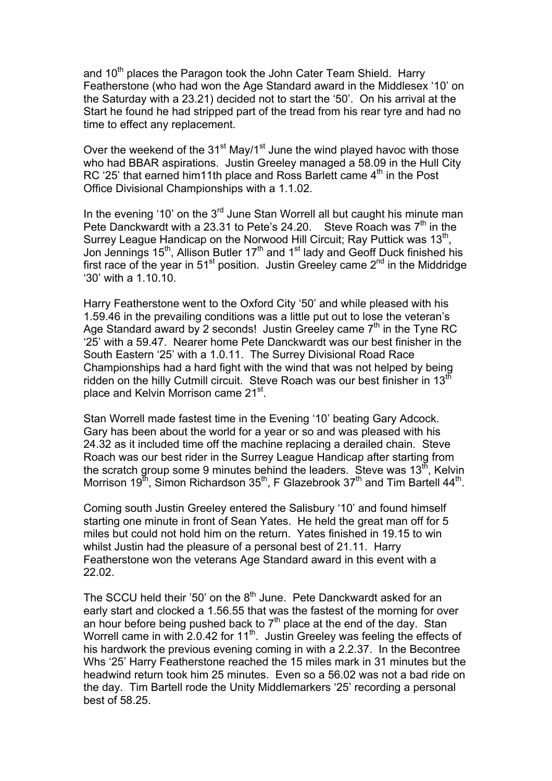and 10<sup>th</sup> places the Paragon took the John Cater Team Shield. Harry Featherstone (who had won the Age Standard award in the Middlesex '10' on the Saturday with a 23.21) decided not to start the '50'. On his arrival at the Start he found he had stripped part of the tread from his rear tyre and had no time to effect any replacement.

Over the weekend of the  $31^{st}$  May/1<sup>st</sup> June the wind played havoc with those who had BBAR aspirations. Justin Greeley managed a 58.09 in the Hull City RC '25' that earned him11th place and Ross Barlett came  $4<sup>th</sup>$  in the Post Office Divisional Championships with a 1.1.02.

In the evening '10' on the  $3<sup>rd</sup>$  June Stan Worrell all but caught his minute man Pete Danckwardt with a 23.31 to Pete's 24.20. Steve Roach was  $7<sup>th</sup>$  in the Surrey League Handicap on the Norwood Hill Circuit; Ray Puttick was 13<sup>th</sup>, Jon Jennings 15<sup>th</sup>, Allison Butler 17<sup>th</sup> and 1<sup>st</sup> lady and Geoff Duck finished his first race of the year in 51<sup>st</sup> position. Justin Greeley came  $2^{nd}$  in the Middridge '30' with a 1.10.10.

Harry Featherstone went to the Oxford City '50' and while pleased with his 1.59.46 in the prevailing conditions was a little put out to lose the veteran's Age Standard award by 2 seconds! Justin Greeley came  $7<sup>th</sup>$  in the Tyne RC '25' with a 59.47. Nearer home Pete Danckwardt was our best finisher in the South Eastern '25' with a 1.0.11. The Surrey Divisional Road Race Championships had a hard fight with the wind that was not helped by being ridden on the hilly Cutmill circuit. Steve Roach was our best finisher in  $13<sup>th</sup>$ place and Kelvin Morrison came 21<sup>st</sup>.

Stan Worrell made fastest time in the Evening '10' beating Gary Adcock. Gary has been about the world for a year or so and was pleased with his 24.32 as it included time off the machine replacing a derailed chain. Steve Roach was our best rider in the Surrey League Handicap after starting from the scratch group some 9 minutes behind the leaders. Steve was  $13<sup>th</sup>$ , Kelvin Morrison 19<sup>th</sup>, Simon Richardson 35<sup>th</sup>, F Glazebrook 37<sup>th</sup> and Tim Bartell 44<sup>th</sup>.

Coming south Justin Greeley entered the Salisbury '10' and found himself starting one minute in front of Sean Yates. He held the great man off for 5 miles but could not hold him on the return. Yates finished in 19.15 to win whilst Justin had the pleasure of a personal best of 21.11. Harry Featherstone won the veterans Age Standard award in this event with a 22.02.

The SCCU held their '50' on the  $8<sup>th</sup>$  June. Pete Danckwardt asked for an early start and clocked a 1.56.55 that was the fastest of the morning for over an hour before being pushed back to  $7<sup>th</sup>$  place at the end of the day. Stan Worrell came in with 2.0.42 for 11<sup>th</sup>. Justin Greeley was feeling the effects of his hardwork the previous evening coming in with a 2.2.37. In the Becontree Whs '25' Harry Featherstone reached the 15 miles mark in 31 minutes but the headwind return took him 25 minutes. Even so a 56.02 was not a bad ride on the day. Tim Bartell rode the Unity Middlemarkers '25' recording a personal best of 58.25.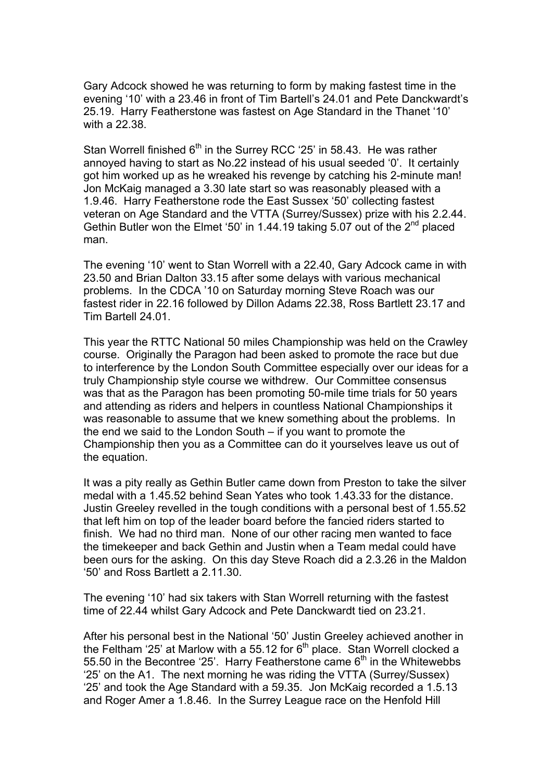Gary Adcock showed he was returning to form by making fastest time in the evening '10' with a 23.46 in front of Tim Bartell's 24.01 and Pete Danckwardt's 25.19. Harry Featherstone was fastest on Age Standard in the Thanet '10' with a 22.38.

Stan Worrell finished  $6<sup>th</sup>$  in the Surrey RCC '25' in 58.43. He was rather annoyed having to start as No.22 instead of his usual seeded '0'. It certainly got him worked up as he wreaked his revenge by catching his 2-minute man! Jon McKaig managed a 3.30 late start so was reasonably pleased with a 1.9.46. Harry Featherstone rode the East Sussex '50' collecting fastest veteran on Age Standard and the VTTA (Surrey/Sussex) prize with his 2.2.44. Gethin Butler won the Elmet '50' in 1.44.19 taking 5.07 out of the 2<sup>nd</sup> placed man.

The evening '10' went to Stan Worrell with a 22.40, Gary Adcock came in with 23.50 and Brian Dalton 33.15 after some delays with various mechanical problems. In the CDCA '10 on Saturday morning Steve Roach was our fastest rider in 22.16 followed by Dillon Adams 22.38, Ross Bartlett 23.17 and Tim Bartell 24.01.

This year the RTTC National 50 miles Championship was held on the Crawley course. Originally the Paragon had been asked to promote the race but due to interference by the London South Committee especially over our ideas for a truly Championship style course we withdrew. Our Committee consensus was that as the Paragon has been promoting 50-mile time trials for 50 years and attending as riders and helpers in countless National Championships it was reasonable to assume that we knew something about the problems. In the end we said to the London South – if you want to promote the Championship then you as a Committee can do it yourselves leave us out of the equation.

It was a pity really as Gethin Butler came down from Preston to take the silver medal with a 1.45.52 behind Sean Yates who took 1.43.33 for the distance. Justin Greeley revelled in the tough conditions with a personal best of 1.55.52 that left him on top of the leader board before the fancied riders started to finish. We had no third man. None of our other racing men wanted to face the timekeeper and back Gethin and Justin when a Team medal could have been ours for the asking. On this day Steve Roach did a 2.3.26 in the Maldon '50' and Ross Bartlett a 2.11.30.

The evening '10' had six takers with Stan Worrell returning with the fastest time of 22.44 whilst Gary Adcock and Pete Danckwardt tied on 23.21.

After his personal best in the National '50' Justin Greeley achieved another in the Feltham '25' at Marlow with a 55.12 for  $6<sup>th</sup>$  place. Stan Worrell clocked a 55.50 in the Becontree '25'. Harry Featherstone came  $6<sup>th</sup>$  in the Whitewebbs '25' on the A1. The next morning he was riding the VTTA (Surrey/Sussex) '25' and took the Age Standard with a 59.35. Jon McKaig recorded a 1.5.13 and Roger Amer a 1.8.46. In the Surrey League race on the Henfold Hill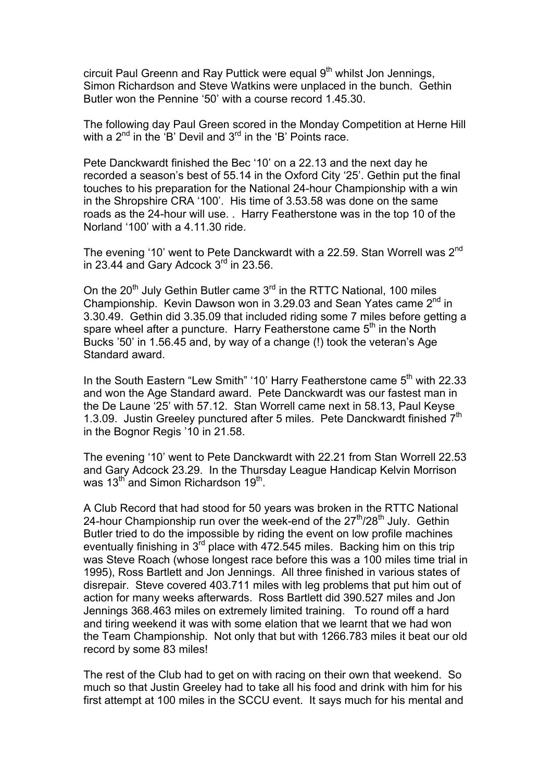circuit Paul Greenn and Ray Puttick were equal 9<sup>th</sup> whilst Jon Jennings, Simon Richardson and Steve Watkins were unplaced in the bunch. Gethin Butler won the Pennine '50' with a course record 1.45.30.

The following day Paul Green scored in the Monday Competition at Herne Hill with a  $2^{nd}$  in the 'B' Devil and  $3^{rd}$  in the 'B' Points race.

Pete Danckwardt finished the Bec '10' on a 22.13 and the next day he recorded a season's best of 55.14 in the Oxford City '25'. Gethin put the final touches to his preparation for the National 24-hour Championship with a win in the Shropshire CRA '100'. His time of 3.53.58 was done on the same roads as the 24-hour will use. . Harry Featherstone was in the top 10 of the Norland '100' with a 4.11.30 ride.

The evening '10' went to Pete Danckwardt with a 22.59. Stan Worrell was 2<sup>nd</sup> in 23.44 and Gary Adcock 3<sup>rd</sup> in 23.56.

On the  $20^{th}$  July Gethin Butler came  $3^{rd}$  in the RTTC National, 100 miles Championship. Kevin Dawson won in 3.29.03 and Sean Yates came 2<sup>nd</sup> in 3.30.49. Gethin did 3.35.09 that included riding some 7 miles before getting a spare wheel after a puncture. Harry Featherstone came  $5<sup>th</sup>$  in the North Bucks '50' in 1.56.45 and, by way of a change (!) took the veteran's Age Standard award.

In the South Eastern "Lew Smith" '10' Harry Featherstone came  $5<sup>th</sup>$  with 22.33 and won the Age Standard award. Pete Danckwardt was our fastest man in the De Laune '25' with 57.12. Stan Worrell came next in 58.13, Paul Keyse 1.3.09. Justin Greeley punctured after 5 miles. Pete Danckwardt finished 7<sup>th</sup> in the Bognor Regis '10 in 21.58.

The evening '10' went to Pete Danckwardt with 22.21 from Stan Worrell 22.53 and Gary Adcock 23.29. In the Thursday League Handicap Kelvin Morrison was 13<sup>th</sup> and Simon Richardson 19<sup>th</sup>.

A Club Record that had stood for 50 years was broken in the RTTC National 24-hour Championship run over the week-end of the  $27<sup>th</sup>/28<sup>th</sup>$  July. Gethin Butler tried to do the impossible by riding the event on low profile machines eventually finishing in  $3<sup>rd</sup>$  place with 472.545 miles. Backing him on this trip was Steve Roach (whose longest race before this was a 100 miles time trial in 1995), Ross Bartlett and Jon Jennings. All three finished in various states of disrepair. Steve covered 403.711 miles with leg problems that put him out of action for many weeks afterwards. Ross Bartlett did 390.527 miles and Jon Jennings 368.463 miles on extremely limited training. To round off a hard and tiring weekend it was with some elation that we learnt that we had won the Team Championship. Not only that but with 1266.783 miles it beat our old record by some 83 miles!

The rest of the Club had to get on with racing on their own that weekend. So much so that Justin Greeley had to take all his food and drink with him for his first attempt at 100 miles in the SCCU event. It says much for his mental and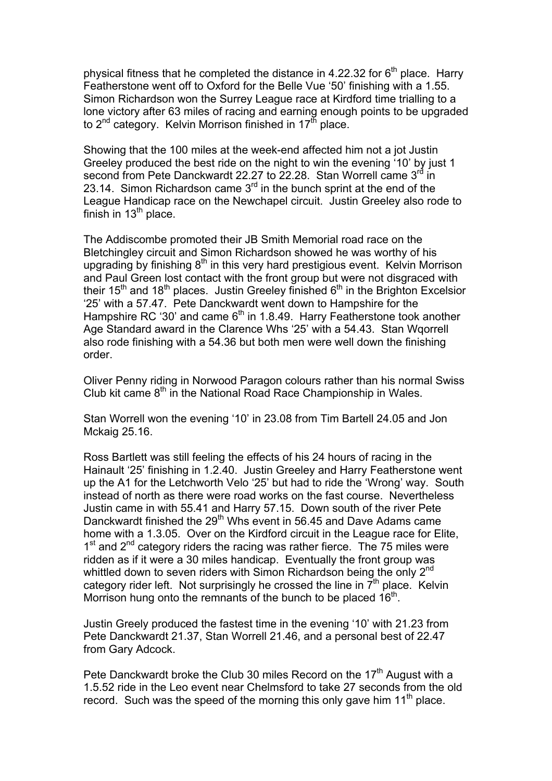physical fitness that he completed the distance in 4.22.32 for  $6<sup>th</sup>$  place. Harry Featherstone went off to Oxford for the Belle Vue '50' finishing with a 1.55. Simon Richardson won the Surrey League race at Kirdford time trialling to a lone victory after 63 miles of racing and earning enough points to be upgraded to  $2^{nd}$  category. Kelvin Morrison finished in  $17<sup>th</sup>$  place.

Showing that the 100 miles at the week-end affected him not a jot Justin Greeley produced the best ride on the night to win the evening '10' by just 1 second from Pete Danckwardt 22.27 to 22.28. Stan Worrell came 3<sup>rd</sup> in 23.14. Simon Richardson came  $3<sup>rd</sup>$  in the bunch sprint at the end of the League Handicap race on the Newchapel circuit. Justin Greeley also rode to finish in  $13<sup>th</sup>$  place.

The Addiscombe promoted their JB Smith Memorial road race on the Bletchingley circuit and Simon Richardson showed he was worthy of his upgrading by finishing  $8<sup>th</sup>$  in this very hard prestigious event. Kelvin Morrison and Paul Green lost contact with the front group but were not disgraced with their 15<sup>th</sup> and 18<sup>th</sup> places. Justin Greeley finished  $6<sup>th</sup>$  in the Brighton Excelsior '25' with a 57.47. Pete Danckwardt went down to Hampshire for the Hampshire RC '30' and came  $6<sup>th</sup>$  in 1.8.49. Harry Featherstone took another Age Standard award in the Clarence Whs '25' with a 54.43. Stan Wqorrell also rode finishing with a 54.36 but both men were well down the finishing order.

Oliver Penny riding in Norwood Paragon colours rather than his normal Swiss Club kit came  $8<sup>th</sup>$  in the National Road Race Championship in Wales.

Stan Worrell won the evening '10' in 23.08 from Tim Bartell 24.05 and Jon Mckaig 25.16.

Ross Bartlett was still feeling the effects of his 24 hours of racing in the Hainault '25' finishing in 1.2.40. Justin Greeley and Harry Featherstone went up the A1 for the Letchworth Velo '25' but had to ride the 'Wrong' way. South instead of north as there were road works on the fast course. Nevertheless Justin came in with 55.41 and Harry 57.15. Down south of the river Pete Danckwardt finished the 29<sup>th</sup> Whs event in 56.45 and Dave Adams came home with a 1.3.05. Over on the Kirdford circuit in the League race for Elite,  $1<sup>st</sup>$  and  $2<sup>nd</sup>$  category riders the racing was rather fierce. The 75 miles were ridden as if it were a 30 miles handicap. Eventually the front group was whittled down to seven riders with Simon Richardson being the only 2<sup>nd</sup> category rider left. Not surprisingly he crossed the line in  $7<sup>th</sup>$  place. Kelvin Morrison hung onto the remnants of the bunch to be placed 16<sup>th</sup>.

Justin Greely produced the fastest time in the evening '10' with 21.23 from Pete Danckwardt 21.37, Stan Worrell 21.46, and a personal best of 22.47 from Gary Adcock.

Pete Danckwardt broke the Club 30 miles Record on the  $17<sup>th</sup>$  August with a 1.5.52 ride in the Leo event near Chelmsford to take 27 seconds from the old record. Such was the speed of the morning this only gave him  $11<sup>th</sup>$  place.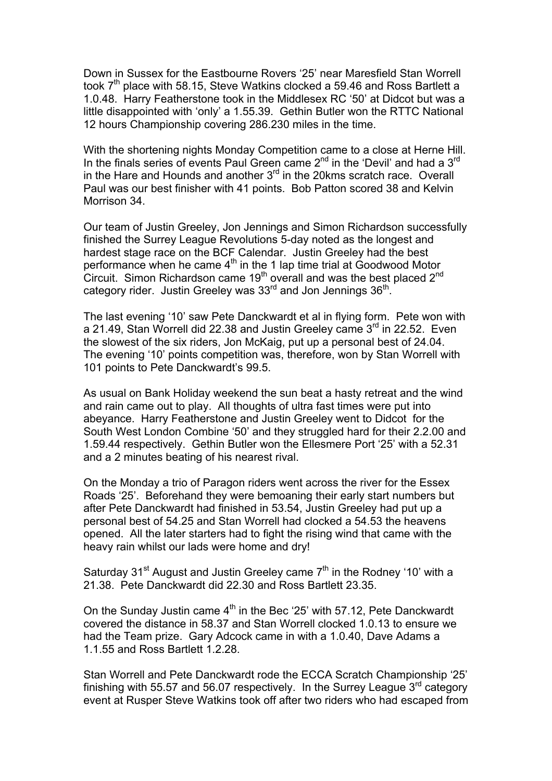Down in Sussex for the Eastbourne Rovers '25' near Maresfield Stan Worrell took  $7<sup>th</sup>$  place with 58.15, Steve Watkins clocked a 59.46 and Ross Bartlett a 1.0.48. Harry Featherstone took in the Middlesex RC '50' at Didcot but was a little disappointed with 'only' a 1.55.39. Gethin Butler won the RTTC National 12 hours Championship covering 286.230 miles in the time.

With the shortening nights Monday Competition came to a close at Herne Hill. In the finals series of events Paul Green came  $2<sup>nd</sup>$  in the 'Devil' and had a  $3<sup>rd</sup>$ in the Hare and Hounds and another  $3<sup>rd</sup>$  in the 20kms scratch race. Overall Paul was our best finisher with 41 points. Bob Patton scored 38 and Kelvin Morrison 34

Our team of Justin Greeley, Jon Jennings and Simon Richardson successfully finished the Surrey League Revolutions 5-day noted as the longest and hardest stage race on the BCF Calendar. Justin Greeley had the best performance when he came  $4<sup>th</sup>$  in the 1 lap time trial at Goodwood Motor Circuit. Simon Richardson came 19<sup>th</sup> overall and was the best placed 2<sup>nd</sup> category rider. Justin Greeley was 33<sup>rd</sup> and Jon Jennings 36<sup>th</sup>.

The last evening '10' saw Pete Danckwardt et al in flying form. Pete won with a 21.49, Stan Worrell did 22.38 and Justin Greeley came  $3<sup>rd</sup>$  in 22.52. Even the slowest of the six riders, Jon McKaig, put up a personal best of 24.04. The evening '10' points competition was, therefore, won by Stan Worrell with 101 points to Pete Danckwardt's 99.5.

As usual on Bank Holiday weekend the sun beat a hasty retreat and the wind and rain came out to play. All thoughts of ultra fast times were put into abeyance. Harry Featherstone and Justin Greeley went to Didcot for the South West London Combine '50' and they struggled hard for their 2.2.00 and 1.59.44 respectively. Gethin Butler won the Ellesmere Port '25' with a 52.31 and a 2 minutes beating of his nearest rival.

On the Monday a trio of Paragon riders went across the river for the Essex Roads '25'. Beforehand they were bemoaning their early start numbers but after Pete Danckwardt had finished in 53.54, Justin Greeley had put up a personal best of 54.25 and Stan Worrell had clocked a 54.53 the heavens opened. All the later starters had to fight the rising wind that came with the heavy rain whilst our lads were home and dry!

Saturday  $31<sup>st</sup>$  August and Justin Greeley came  $7<sup>th</sup>$  in the Rodney '10' with a 21.38. Pete Danckwardt did 22.30 and Ross Bartlett 23.35.

On the Sunday Justin came  $4<sup>th</sup>$  in the Bec '25' with 57.12, Pete Danckwardt covered the distance in 58.37 and Stan Worrell clocked 1.0.13 to ensure we had the Team prize. Gary Adcock came in with a 1.0.40, Dave Adams a 1.1.55 and Ross Bartlett 1.2.28.

Stan Worrell and Pete Danckwardt rode the ECCA Scratch Championship '25' finishing with 55.57 and 56.07 respectively. In the Surrey League  $3<sup>rd</sup>$  category event at Rusper Steve Watkins took off after two riders who had escaped from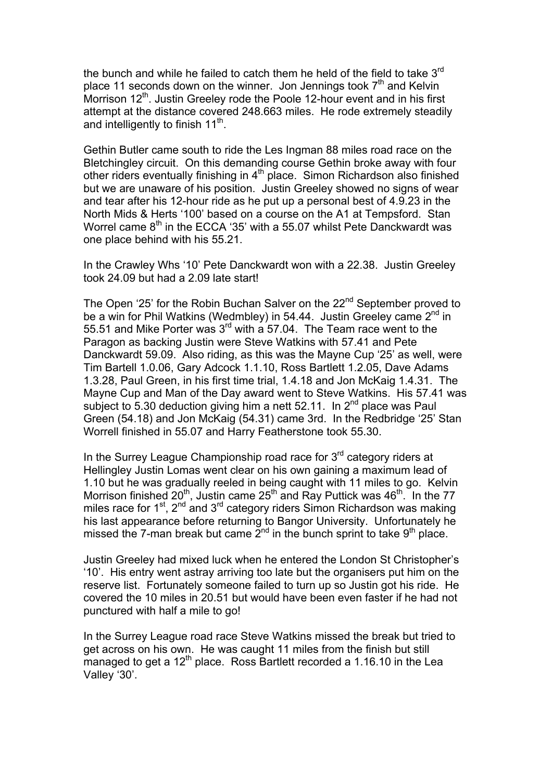the bunch and while he failed to catch them he held of the field to take 3<sup>rd</sup> place 11 seconds down on the winner. Jon Jennings took  $7<sup>th</sup>$  and Kelvin Morrison 12<sup>th</sup>. Justin Greeley rode the Poole 12-hour event and in his first attempt at the distance covered 248.663 miles. He rode extremely steadily and intelligently to finish  $11<sup>th</sup>$ .

Gethin Butler came south to ride the Les Ingman 88 miles road race on the Bletchingley circuit. On this demanding course Gethin broke away with four other riders eventually finishing in 4<sup>th</sup> place. Simon Richardson also finished but we are unaware of his position. Justin Greeley showed no signs of wear and tear after his 12-hour ride as he put up a personal best of 4.9.23 in the North Mids & Herts '100' based on a course on the A1 at Tempsford. Stan Worrel came  $8<sup>th</sup>$  in the ECCA '35' with a 55.07 whilst Pete Danckwardt was one place behind with his 55.21.

In the Crawley Whs '10' Pete Danckwardt won with a 22.38. Justin Greeley took 24.09 but had a 2.09 late start!

The Open '25' for the Robin Buchan Salver on the 22<sup>nd</sup> September proved to be a win for Phil Watkins (Wedmbley) in 54.44. Justin Greeley came  $2^{nd}$  in 55.51 and Mike Porter was  $3^{rd}$  with a 57.04. The Team race went to the Paragon as backing Justin were Steve Watkins with 57.41 and Pete Danckwardt 59.09. Also riding, as this was the Mayne Cup '25' as well, were Tim Bartell 1.0.06, Gary Adcock 1.1.10, Ross Bartlett 1.2.05, Dave Adams 1.3.28, Paul Green, in his first time trial, 1.4.18 and Jon McKaig 1.4.31. The Mayne Cup and Man of the Day award went to Steve Watkins. His 57.41 was subject to 5.30 deduction giving him a nett 52.11. In  $2^{nd}$  place was Paul Green (54.18) and Jon McKaig (54.31) came 3rd. In the Redbridge '25' Stan Worrell finished in 55.07 and Harry Featherstone took 55.30.

In the Surrey League Championship road race for  $3<sup>rd</sup>$  category riders at Hellingley Justin Lomas went clear on his own gaining a maximum lead of 1.10 but he was gradually reeled in being caught with 11 miles to go. Kelvin Morrison finished  $20^{th}$ , Justin came  $25^{th}$  and Ray Puttick was  $46^{th}$ . In the 77 miles race for 1<sup>st</sup>, 2<sup>nd</sup> and 3<sup>rd</sup> category riders Simon Richardson was making his last appearance before returning to Bangor University. Unfortunately he missed the 7-man break but came  $2^{nd}$  in the bunch sprint to take  $9^{th}$  place.

Justin Greeley had mixed luck when he entered the London St Christopher's '10'. His entry went astray arriving too late but the organisers put him on the reserve list. Fortunately someone failed to turn up so Justin got his ride. He covered the 10 miles in 20.51 but would have been even faster if he had not punctured with half a mile to go!

In the Surrey League road race Steve Watkins missed the break but tried to get across on his own. He was caught 11 miles from the finish but still managed to get a  $12<sup>th</sup>$  place. Ross Bartlett recorded a 1.16.10 in the Lea Valley '30'.